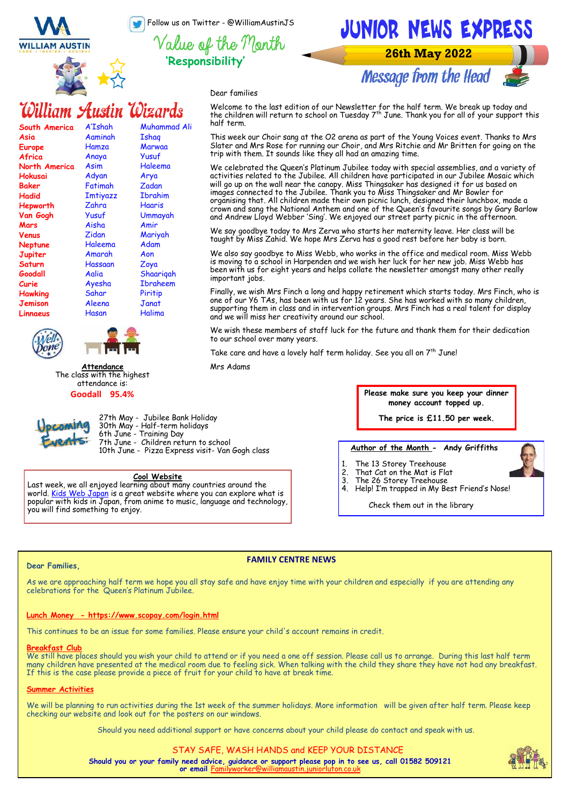Follow us on Twitter - @WilliamAustinJS



**'Responsibility'**

JUNIOR NEWS EXPRESS **26th May 2022** 

**Message from the Head** 



Dear families

## William Austin Wizards

| South America  | A'Ishah         | Muhammad Ali    |
|----------------|-----------------|-----------------|
| Asia           | Aaminah         | Ishag           |
| <b>Europe</b>  | Hamza           | Marwaa          |
| Africa         | Anaya           | Yusuf           |
| North America  | Asim            | Haleema         |
| Hokusai        | Adyan           | Arya            |
| <b>Baker</b>   | Fatimah         | Zadan           |
| Hadid          | <b>Imtiyazz</b> | Ibrahim         |
| Hepworth       | Zahra           | Haaris          |
| Van Gogh       | Yusuf           | Ummayah         |
| Mars           | Aisha           | Amir            |
| Venus          | Zidan           | Mariyah         |
| <b>Neptune</b> | Haleema         | Adam            |
| Jupiter        | Amarah          | Aon             |
| Saturn         | Hassaan         | Zoya            |
| Goodall        | Aalia           | Shaarigah       |
| Curie          | Ayesha          | <b>Ibraheem</b> |
| Hawking        | Sahar           | Piritip         |
| Jemison        | Aleena          | Janat           |
| Linnaeus       | Hasan           | Halima          |
|                |                 |                 |





**Attendance** The class with the highest attendance is: **Goodall 95.4%**



27th May - Jubilee Bank Holiday **The price is £11.50 per week.** 30th May - Half-term holidays 6th June - Training Day 7th June - Children return to school 10th June - Pizza Express visit- Van Gogh class

#### **Cool Website**

Last week, we all enjoyed learning about many countries around the world. <u>Kids Web Japan</u> is a great website where you can explore what is popular with kids in Japan, from anime to music, language and technology, you will find something to enjoy.

Welcome to the last edition of our Newsletter for the half term. We break up today and<br>the children will return to school on Tuesday 7<sup>th</sup> June. Thank you for all of your support this half term.

This week our Choir sang at the O2 arena as part of the Young Voices event. Thanks to Mrs Slater and Mrs Rose for running our Choir, and Mrs Ritchie and Mr Britten for going on the trip with them. It sounds like they all had an amazing time.

We celebrated the Queen's Platinum Jubilee today with special assemblies, and a variety of activities related to the Jubilee. All children have participated in our Jubilee Mosaic which will go up on the wall near the canopy. Miss Thingsaker has designed it for us based on images connected to the Jubilee. Thank you to Miss Thingsaker and Mr Bowler for organising that. All children made their own picnic lunch, designed their lunchbox, made a crown and sang the National Anthem and one of the Queen's favourite songs by Gary Barlow and Andrew Lloyd Webber 'Sing'. We enjoyed our street party picnic in the afternoon.

We say goodbye today to Mrs Zerva who starts her maternity leave. Her class will be taught by Miss Zahid. We hope Mrs Zerva has a good rest before her baby is born.

We also say goodbye to Miss Webb, who works in the office and medical room. Miss Webb is moving to a school in Harpenden and we wish her luck for her new job. Miss Webb has been with us for eight years and helps collate the newsletter amongst many other really important jobs.

Finally, we wish Mrs Finch a long and happy retirement which starts today. Mrs Finch, who is one of our Y6 TAs, has been with us for 12 years. She has worked with so many children, supporting them in class and in intervention groups. Mrs Finch has a real talent for display and we will miss her creativity around our school.

We wish these members of staff luck for the future and thank them for their dedication to our school over many years.

Take care and have a lovely half term holiday. See you all on 7<sup>th</sup> June!

Mrs Adams

**Please make sure you keep your dinner money account topped up.** 

#### **Author of the Month - Andy Griffiths**

- The 13 Storey Treehouse
- That Cat on the Mat is Flat
- The 26 Storey Treehouse
- 4. Help! I'm trapped in My Best Friend's Nose!

Check them out in the library

#### **Dear Families,**

#### **FAMILY CENTRE NEWS**

As we are approaching half term we hope you all stay safe and have enjoy time with your children and especially if you are attending any celebrations for the Queen's Platinum Jubilee.

## **Lunch Money - https://www.scopay.com/login.html**

This continues to be an issue for some families. Please ensure your child's account remains in credit.

#### **Breakfast Club**

We still have places should you wish your child to attend or if you need a one off session. Please call us to arrange. During this last half term many children have presented at the medical room due to feeling sick. When talking with the child they share they have not had any breakfast. If this is the case please provide a piece of fruit for your child to have at break time.

#### **Summer Activities**

We will be planning to run activities during the 1st week of the summer holidays. More information will be given after half term. Please keep checking our website and look out for the posters on our windows.

Should you need additional support or have concerns about your child please do contact and speak with us.

STAY SAFE, WASH HANDS and KEEP YOUR DISTANCE **Should you or your family need advice, guidance or support please pop in to see us, call 01582 509121 or email** Fa

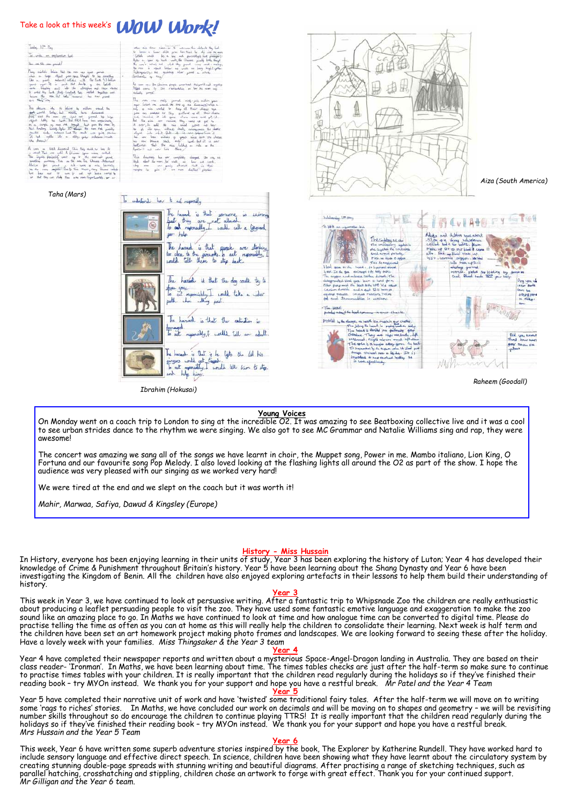## Take a look at this week's **WOW Work!**

Tooley, 10th May To write an explanation fuel

 $\frac{1}{2}$  and  $\frac{1}{2}$  and  $\frac{1}{2}$ 

John Ro object gram spec<br>maternit] collided

 $L_0$  on  $L_0$  and  $L_0$ 

 $\frac{b-a_1}{b_1}$  $\begin{array}{c} a^t \\ b^t \\ \end{array}$  $\hat{\mathcal{L}}$  $\frac{6}{14}$   $\frac{1}{14}$ 

*Taha (Mars)*

 $per$   $h$ 

hazard is that

the hazard is that someone is stimmed<br>but they are not allocal.<br>To ad neposually, could call a liggued

The hand is that graph are three<br>for doe to the gireworks to out repossibly,<br>could tell them to stip back.

The hazad is that the day could try to

chee goes<br>To get responsibly, I would take a wider<br>poth that who gest.

The harad is that the extention is

raged a view we come on the

exad is But is he lights the did his<br>3 world get Gappe is<br>1 manually, I would tell him to stip.<br>hulp hisp:

To undertaint has to ad responsibly



*Aiza (South America)*



*Raheem (Goodall)*

#### **Young Voices**

semente is summig<br>t allocal

On Monday went on a coach trip to London to sing at the incredible O2. It was amazing to see Beatboxing collective live and it was a cool to see urban strides dance to the rhythm we were singing. We also got to see MC Grammar and Natalie Williams sing and rap, they were awesome!

The concert was amazing we sang all of the songs we have learnt in choir, the Muppet song, Power in me. Mambo italiano, Lion King, O Fortuna and our favourite song Pop Melody. I also loved looking at the flashing lights all around the O2 as part of the show. I hope the audience was very pleased with our singing as we worked very hard!

We were tired at the end and we slept on the coach but it was worth it!

*Ibrahim (Hokusai)*

The harack the haracters

*Mahir, Marwaa, Safiya, Dawud & Kingsley (Europe)*

#### **History - Miss Hussain**

In History, everyone has been enjoying learning in their units of study, Year 3 has been exploring the history of Luton; Year 4 has developed their knowledge of Crime & Punishment throughout Britain's history. Year 5 have been learning about the Shang Dynasty and Year 6 have been investigating the Kingdom of Benin. All the children have also enjoyed exploring artefacts in their lessons to help them build their understanding of history.

#### **Year 3**

This week in Year 3, we have continued to look at persuasive writing. After a fantastic trip to Whipsnade Zoo the children are really enthusiastic about producing a leaflet persuading people to visit the zoo. They have used some fantastic emotive language and exaggeration to make the zoo sound like an amazing place to go. In Maths we have continued to look at time and how analogue time can be converted to digital time. Please do practise telling the time as often as you can at home as this will really help the children to consolidate their learning. Next week is half term and the children have been set an art homework project making photo frames and landscapes. We are looking forward to seeing these after the holiday. Have a lovely week with your families. *Miss Thingsaker & the Year 3 team*

#### **Year 4**

Year 4 have completed their newspaper reports and written about a mysterious Space-Angel-Dragon landing in Australia. They are based on their class reader- 'Ironman'. In Maths, we have been learning about time. The times tables checks are just after the half-term so make sure to continue to practise times tables with your children. It is really important that the children read regularly during the holidays so if they've finished their reading book – try MYOn instead. We thank you for your support and hope you have a restful break. *Mr Patel and the Year 4 Team*

**Year 5** Year 5 have completed their narrative unit of work and have 'twisted' some traditional fairy tales. After the half-term we will move on to writing some 'rags to riches' stories. In Maths, we have concluded our work on decimals and will be moving on to shapes and geometry – we will be revisiting number skills throughout so do encourage the children to continue playing TTRS! It is really important that the children read regularly during the holidays so if they've finished their reading book – try MYOn instead. We thank you for your support and hope you have a restful break. *Mrs Hussain and the Year 5 Team*

#### **Year 6**

This week, Year 6 have written some superb adventure stories inspired by the book, The Explorer by Katherine Rundell. They have worked hard to include sensory language and effective direct speech. In science, children have been showing what they have learnt about the circulatory system by<br>creating stunning double-page spreads with stunning writing and beautiful d parallel hatching, crosshatching and stippling, children chose an artwork to forge with great effect. Thank you for your continued support. *Mr Gilligan and the Year 6 team.*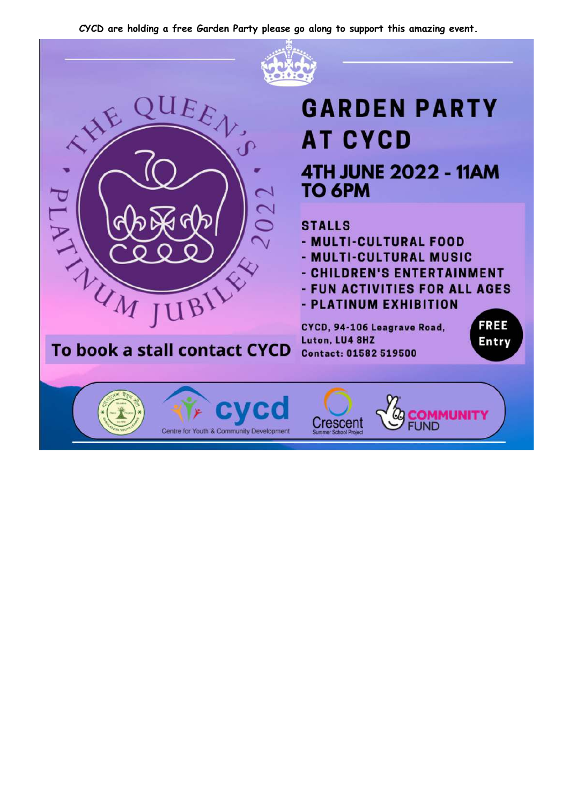CYCD are holding a free Garden Party please go along to support this amazing event.

 $EE$ 

JUBILE

To book a stall contact CYCD

**PANTHUM** 



# **GARDEN PARTY AT CYCD 4TH JUNE 2022 - 11AM TO 6PM**

## **STALLS**

- MULTI-CULTURAL FOOD
- MULTI-CULTURAL MUSIC
- CHILDREN'S ENTERTAINMENT
- FUN ACTIVITIES FOR ALL AGES

**FREE** 

Entry

- PLATINUM EXHIBITION

CYCD, 94-106 Leagrave Road, Luton, LU4 8HZ Contact: 01582 519500